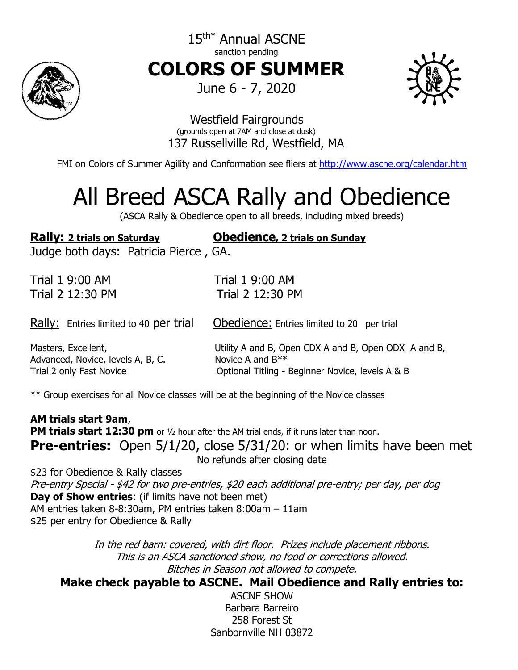

15<sup>th\*</sup> Annual ASCNE sanction pending **COLORS OF SUMMER** June 6 - 7, 2020



## Westfield Fairgrounds (grounds open at 7AM and close at dusk) 137 Russellville Rd, Westfield, MA

FMI on Colors of Summer Agility and Conformation see fliers at<http://www.ascne.org/calendar.htm>

# All Breed ASCA Rally and Obedience

(ASCA Rally & Obedience open to all breeds, including mixed breeds)

**Rally: 2 trials on Saturday Obedience, 2 trials on Sunday** Judge both days: Patricia Pierce , GA. Trial 1 9:00 AM Trial 1 9:00 AM Trial 2 12:30 PM Trial 2 12:30 PM

Rally: Entries limited to 40 per trial Obedience: Entries limited to 20 per trial

Advanced, Novice, levels A, B, C. Novice A and  $B^{**}$ 

Masters, Excellent, Utility A and B, Open CDX A and B, Open ODX A and B, Trial 2 only Fast Novice **Conservant Conservant Conservant Conservant Conservant Conservant Conservant Conservant** 

\*\* Group exercises for all Novice classes will be at the beginning of the Novice classes

**AM trials start 9am**, **PM trials start 12:30 pm** or 1/2 hour after the AM trial ends, if it runs later than noon. **Pre-entries:** Open 5/1/20, close 5/31/20: or when limits have been met No refunds after closing date \$23 for Obedience & Rally classes Pre-entry Special - \$42 for two pre-entries, \$20 each additional pre-entry; per day, per dog **Day of Show entries**: (if limits have not been met) AM entries taken 8-8:30am, PM entries taken 8:00am – 11am \$25 per entry for Obedience & Rally

> In the red barn: covered, with dirt floor. Prizes include placement ribbons. This is an ASCA sanctioned show, no food or corrections allowed. Bitches in Season not allowed to compete.

**Make check payable to ASCNE. Mail Obedience and Rally entries to:**

ASCNE SHOW Barbara Barreiro 258 Forest St Sanbornville NH 03872